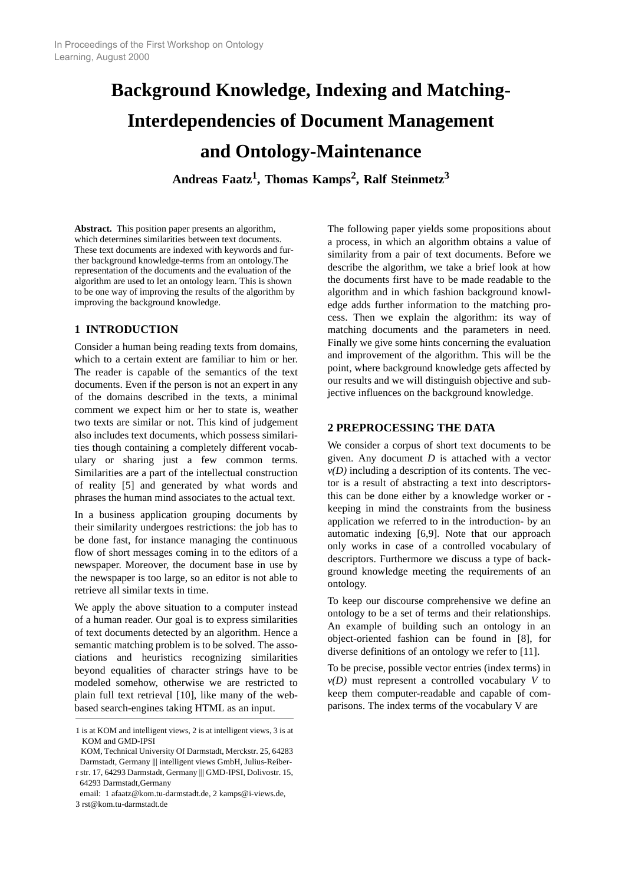# **Background Knowledge, Indexing and Matching-Interdependencies of Document Management and Ontology-Maintenance**

**Andreas Faatz1 , Thomas Kamps<sup>2</sup> , Ralf Steinmetz<sup>3</sup>**

**Abstract.** This position paper presents an algorithm, which determines similarities between text documents. These text documents are indexed with keywords and further background knowledge-terms from an ontology.The representation of the documents and the evaluation of the algorithm are used to let an ontology learn. This is shown to be one way of improving the results of the algorithm by improving the background knowledge.

## **1 INTRODUCTION**

Consider a human being reading texts from domains, which to a certain extent are familiar to him or her. The reader is capable of the semantics of the text documents. Even if the person is not an expert in any of the domains described in the texts, a minimal comment we expect him or her to state is, weather two texts are similar or not. This kind of judgement also includes text documents, which possess similarities though containing a completely different vocabulary or sharing just a few common terms. Similarities are a part of the intellectual construction of reality [5] and generated by what words and phrases the human mind associates to the actual text.

In a business application grouping documents by their similarity undergoes restrictions: the job has to be done fast, for instance managing the continuous flow of short messages coming in to the editors of a newspaper. Moreover, the document base in use by the newspaper is too large, so an editor is not able to retrieve all similar texts in time.

We apply the above situation to a computer instead of a human reader. Our goal is to express similarities of text documents detected by an algorithm. Hence a semantic matching problem is to be solved. The associations and heuristics recognizing similarities beyond equalities of character strings have to be modeled somehow, otherwise we are restricted to plain full text retrieval [10], like many of the webbased search-engines taking HTML as an input.

The following paper yields some propositions about a process, in which an algorithm obtains a value of similarity from a pair of text documents. Before we describe the algorithm, we take a brief look at how the documents first have to be made readable to the algorithm and in which fashion background knowledge adds further information to the matching process. Then we explain the algorithm: its way of matching documents and the parameters in need. Finally we give some hints concerning the evaluation and improvement of the algorithm. This will be the point, where background knowledge gets affected by our results and we will distinguish objective and subjective influences on the background knowledge.

## **2 PREPROCESSING THE DATA**

We consider a corpus of short text documents to be given. Any document *D* is attached with a vector  $v(D)$  including a description of its contents. The vector is a result of abstracting a text into descriptorsthis can be done either by a knowledge worker or keeping in mind the constraints from the business application we referred to in the introduction- by an automatic indexing [6,9]. Note that our approach only works in case of a controlled vocabulary of descriptors. Furthermore we discuss a type of background knowledge meeting the requirements of an ontology.

To keep our discourse comprehensive we define an ontology to be a set of terms and their relationships. An example of building such an ontology in an object-oriented fashion can be found in [8], for diverse definitions of an ontology we refer to [11].

To be precise, possible vector entries (index terms) in *v(D)* must represent a controlled vocabulary *V* to keep them computer-readable and capable of comparisons. The index terms of the vocabulary V are

<sup>1</sup> is at KOM and intelligent views, 2 is at intelligent views, 3 is at KOM and GMD-IPSI

KOM, Technical University Of Darmstadt, Merckstr. 25, 64283 Darmstadt, Germany ||| intelligent views GmbH, Julius-Reiberr str. 17, 64293 Darmstadt, Germany ||| GMD-IPSI, Dolivostr. 15,

 <sup>64293</sup> Darmstadt,Germany email: 1 afaatz@kom.tu-darmstadt.de, 2 kamps@i-views.de,

<sup>3</sup> rst@kom.tu-darmstadt.de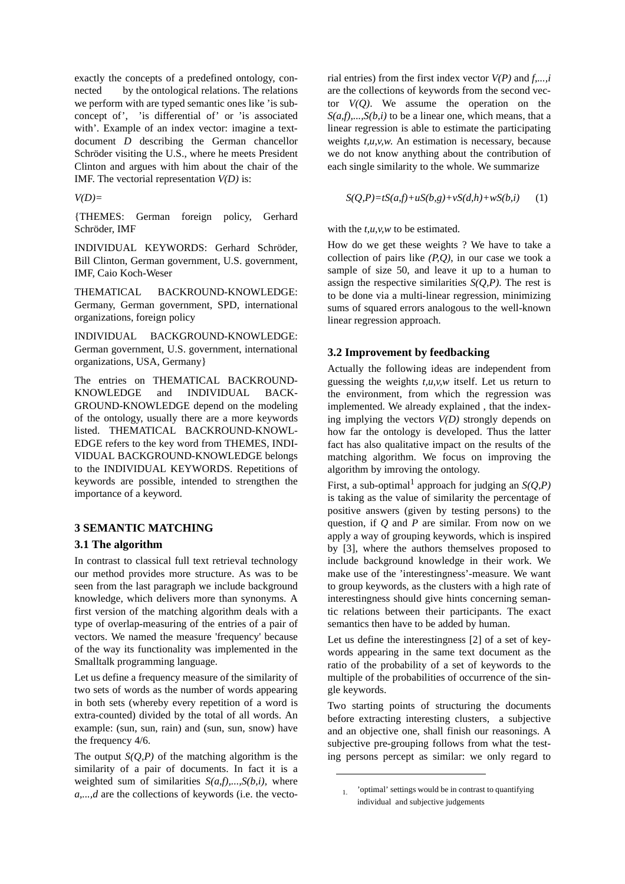exactly the concepts of a predefined ontology, connected by the ontological relations. The relations we perform with are typed semantic ones like 'is subconcept of', 'is differential of' or 'is associated with'. Example of an index vector: imagine a textdocument *D* describing the German chancellor Schröder visiting the U.S., where he meets President Clinton and argues with him about the chair of the IMF. The vectorial representation *V(D)* is:

*V(D)=*

{THEMES: German foreign policy, Gerhard Schröder, IMF

INDIVIDUAL KEYWORDS: Gerhard Schröder, Bill Clinton, German government, U.S. government, IMF, Caio Koch-Weser

THEMATICAL BACKROUND-KNOWLEDGE: Germany, German government, SPD, international organizations, foreign policy

INDIVIDUAL BACKGROUND-KNOWLEDGE: German government, U.S. government, international organizations, USA, Germany}

The entries on THEMATICAL BACKROUND-KNOWLEDGE and INDIVIDUAL BACK-GROUND-KNOWLEDGE depend on the modeling of the ontology, usually there are a more keywords listed. THEMATICAL BACKROUND-KNOWL-EDGE refers to the key word from THEMES, INDI-VIDUAL BACKGROUND-KNOWLEDGE belongs to the INDIVIDUAL KEYWORDS. Repetitions of keywords are possible, intended to strengthen the importance of a keyword.

## **3 SEMANTIC MATCHING**

#### **3.1 The algorithm**

In contrast to classical full text retrieval technology our method provides more structure. As was to be seen from the last paragraph we include background knowledge, which delivers more than synonyms. A first version of the matching algorithm deals with a type of overlap-measuring of the entries of a pair of vectors. We named the measure 'frequency' because of the way its functionality was implemented in the Smalltalk programming language.

Let us define a frequency measure of the similarity of two sets of words as the number of words appearing in both sets (whereby every repetition of a word is extra-counted) divided by the total of all words. An example: (sun, sun, rain) and (sun, sun, snow) have the frequency 4/6.

The output  $S(Q, P)$  of the matching algorithm is the similarity of a pair of documents. In fact it is a weighted sum of similarities *S(a,f),...,S(b,i),* where *a,...,d* are the collections of keywords (i.e. the vectorial entries) from the first index vector *V(P)* and *f,...,i* are the collections of keywords from the second vector *V(Q)*. We assume the operation on the  $S(a,f),...,S(b,i)$  to be a linear one, which means, that a linear regression is able to estimate the participating weights *t,u,v,w*. An estimation is necessary, because we do not know anything about the contribution of each single similarity to the whole. We summarize

$$
S(Q,P)=tS(a,f)+uS(b,g)+vS(d,h)+wS(b,i) \qquad (1)
$$

with the *t*,*u*,*v*,*w* to be estimated.

How do we get these weights ? We have to take a collection of pairs like *(P,Q)*, in our case we took a sample of size 50, and leave it up to a human to assign the respective similarities  $S(Q, P)$ . The rest is to be done via a multi-linear regression, minimizing sums of squared errors analogous to the well-known linear regression approach.

#### **3.2 Improvement by feedbacking**

Actually the following ideas are independent from guessing the weights *t,u,v,w* itself. Let us return to the environment, from which the regression was implemented. We already explained , that the indexing implying the vectors *V(D)* strongly depends on how far the ontology is developed. Thus the latter fact has also qualitative impact on the results of the matching algorithm. We focus on improving the algorithm by imroving the ontology.

First, a sub-optimal<sup>1</sup> approach for judging an  $S(Q, P)$ is taking as the value of similarity the percentage of positive answers (given by testing persons) to the question, if *Q* and *P* are similar. From now on we apply a way of grouping keywords, which is inspired by [3], where the authors themselves proposed to include background knowledge in their work. We make use of the 'interestingness'-measure. We want to group keywords, as the clusters with a high rate of interestingness should give hints concerning semantic relations between their participants. The exact semantics then have to be added by human.

Let us define the interestingness [2] of a set of keywords appearing in the same text document as the ratio of the probability of a set of keywords to the multiple of the probabilities of occurrence of the single keywords.

Two starting points of structuring the documents before extracting interesting clusters, a subjective and an objective one, shall finish our reasonings. A subjective pre-grouping follows from what the testing persons percept as similar: we only regard to

<sup>1.</sup> 'optimal' settings would be in contrast to quantifying individual and subjective judgements